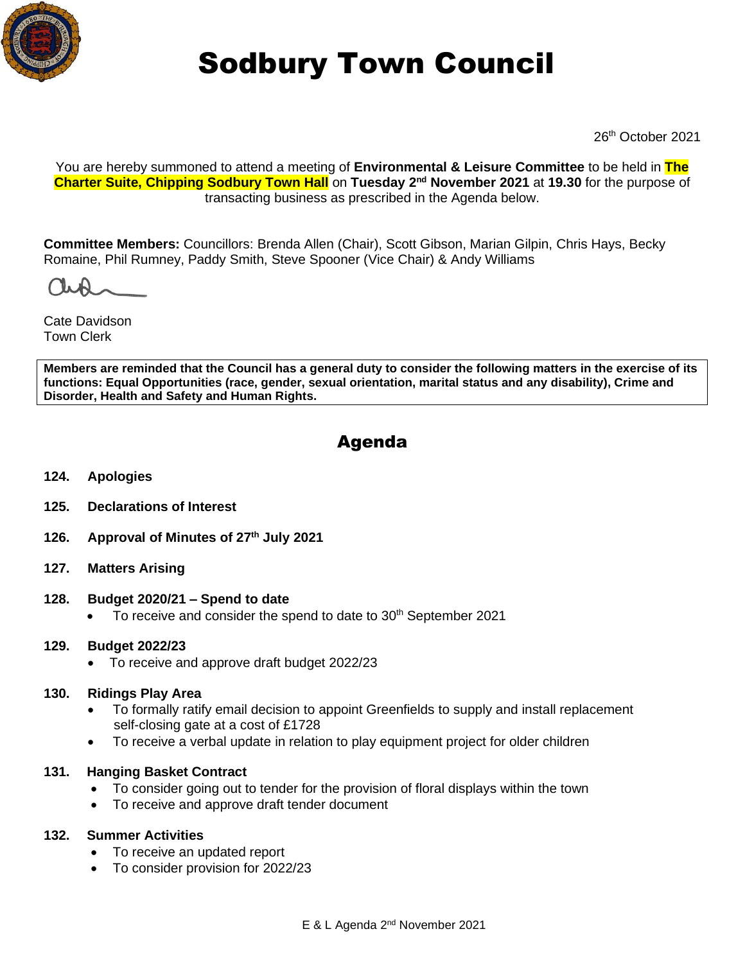

# Sodbury Town Council

26th October 2021

You are hereby summoned to attend a meeting of **Environmental & Leisure Committee** to be held in **The Charter Suite, Chipping Sodbury Town Hall** on Tuesday 2<sup>nd</sup> November 2021 at 19.30 for the purpose of transacting business as prescribed in the Agenda below.

**Committee Members:** Councillors: Brenda Allen (Chair), Scott Gibson, Marian Gilpin, Chris Hays, Becky Romaine, Phil Rumney, Paddy Smith, Steve Spooner (Vice Chair) & Andy Williams

Cate Davidson Town Clerk

**Members are reminded that the Council has a general duty to consider the following matters in the exercise of its functions: Equal Opportunities (race, gender, sexual orientation, marital status and any disability), Crime and Disorder, Health and Safety and Human Rights.** 

# Agenda

- **124. Apologies**
- **125. Declarations of Interest**
- **126. Approval of Minutes of 27th July 2021**
- **127. Matters Arising**

#### **128. Budget 2020/21 – Spend to date**

To receive and consider the spend to date to 30<sup>th</sup> September 2021

#### **129. Budget 2022/23**

• To receive and approve draft budget 2022/23

#### **130. Ridings Play Area**

- To formally ratify email decision to appoint Greenfields to supply and install replacement self-closing gate at a cost of £1728
- To receive a verbal update in relation to play equipment project for older children
- **131. Hanging Basket Contract** 
	- To consider going out to tender for the provision of floral displays within the town
	- To receive and approve draft tender document

#### **132. Summer Activities**

- To receive an updated report
- To consider provision for 2022/23